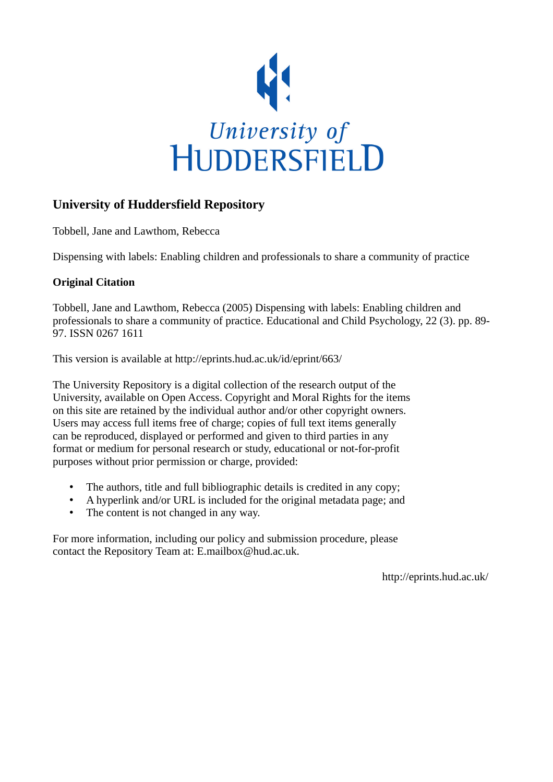

## **University of Huddersfield Repository**

Tobbell, Jane and Lawthom, Rebecca

Dispensing with labels: Enabling children and professionals to share a community of practice

### **Original Citation**

Tobbell, Jane and Lawthom, Rebecca (2005) Dispensing with labels: Enabling children and professionals to share a community of practice. Educational and Child Psychology, 22 (3). pp. 89- 97. ISSN 0267 1611

This version is available at http://eprints.hud.ac.uk/id/eprint/663/

The University Repository is a digital collection of the research output of the University, available on Open Access. Copyright and Moral Rights for the items on this site are retained by the individual author and/or other copyright owners. Users may access full items free of charge; copies of full text items generally can be reproduced, displayed or performed and given to third parties in any format or medium for personal research or study, educational or not-for-profit purposes without prior permission or charge, provided:

- The authors, title and full bibliographic details is credited in any copy;
- A hyperlink and/or URL is included for the original metadata page; and
- The content is not changed in any way.

For more information, including our policy and submission procedure, please contact the Repository Team at: E.mailbox@hud.ac.uk.

http://eprints.hud.ac.uk/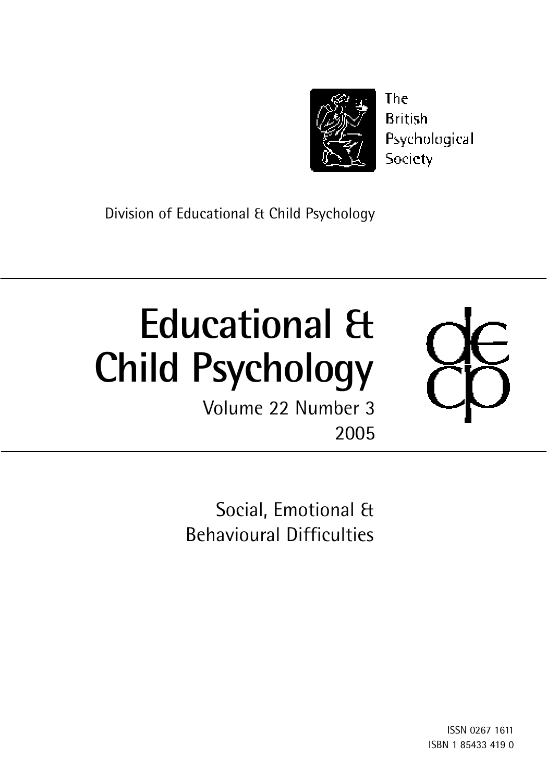

The **British** Psychological Society

Division of Educational & Child Psychology

# **Educational & Child Psychology**

Volume 22 Number 3 2005



Social, Emotional & Behavioural Difficulties

> ISSN 0267 1611 ISBN 1 85433 419 0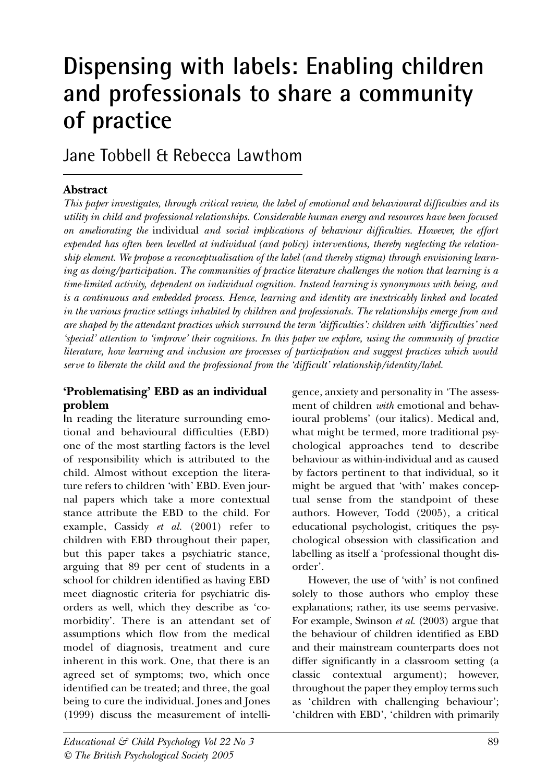## **Dispensing with labels: Enabling children and professionals to share a community of practice**

Jane Tobbell & Rebecca Lawthom

#### **Abstract**

*This paper investigates, through critical review, the label of emotional and behavioural difficulties and its utility in child and professional relationships. Considerable human energy and resources have been focused on ameliorating the* individual *and social implications of behaviour difficulties. However, the effort expended has often been levelled at individual (and policy) interventions, thereby neglecting the relationship element. We propose a reconceptualisation of the label (and thereby stigma) through envisioning learning as doing/participation. The communities of practice literature challenges the notion that learning is a time-limited activity, dependent on individual cognition. Instead learning is synonymous with being, and is a continuous and embedded process. Hence, learning and identity are inextricably linked and located in the various practice settings inhabited by children and professionals. The relationships emerge from and are shaped by the attendant practices which surround the term 'difficulties': children with 'difficulties' need 'special' attention to 'improve' their cognitions. In this paper we explore, using the community of practice literature, how learning and inclusion are processes of participation and suggest practices which would serve to liberate the child and the professional from the 'difficult' relationship/identity/label.*

#### **'Problematising' EBD as an individual problem**

**I**n reading the literature surrounding emotional and behavioural difficulties (EBD) one of the most startling factors is the level of responsibility which is attributed to the child. Almost without exception the literature refers to children 'with' EBD. Even journal papers which take a more contextual stance attribute the EBD to the child. For example, Cassidy *et al.* (2001) refer to children with EBD throughout their paper, but this paper takes a psychiatric stance, arguing that 89 per cent of students in a school for children identified as having EBD meet diagnostic criteria for psychiatric disorders as well, which they describe as 'comorbidity'. There is an attendant set of assumptions which flow from the medical model of diagnosis, treatment and cure inherent in this work. One, that there is an agreed set of symptoms; two, which once identified can be treated; and three, the goal being to cure the individual. Jones and Jones (1999) discuss the measurement of intelligence, anxiety and personality in 'The assessment of children *with* emotional and behavioural problems' (our italics). Medical and, what might be termed, more traditional psychological approaches tend to describe behaviour as within-individual and as caused by factors pertinent to that individual, so it might be argued that 'with' makes conceptual sense from the standpoint of these authors. However, Todd (2005), a critical educational psychologist, critiques the psychological obsession with classification and labelling as itself a 'professional thought disorder'.

However, the use of 'with' is not confined solely to those authors who employ these explanations; rather, its use seems pervasive. For example, Swinson *et al.* (2003) argue that the behaviour of children identified as EBD and their mainstream counterparts does not differ significantly in a classroom setting (a classic contextual argument); however, throughout the paper they employ terms such as 'children with challenging behaviour'; 'children with EBD', 'children with primarily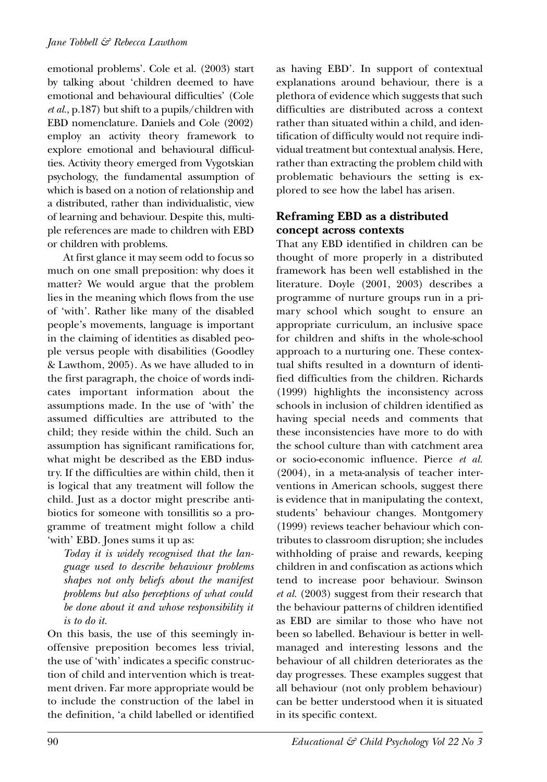emotional problems'. Cole et al. (2003) start by talking about 'children deemed to have emotional and behavioural difficulties' (Cole *et al.*, p.187) but shift to a pupils/children with EBD nomenclature. Daniels and Cole (2002) employ an activity theory framework to explore emotional and behavioural difficulties. Activity theory emerged from Vygotskian psychology, the fundamental assumption of which is based on a notion of relationship and a distributed, rather than individualistic, view of learning and behaviour. Despite this, multiple references are made to children with EBD or children with problems.

At first glance it may seem odd to focus so much on one small preposition: why does it matter? We would argue that the problem lies in the meaning which flows from the use of 'with'. Rather like many of the disabled people's movements, language is important in the claiming of identities as disabled people versus people with disabilities (Goodley & Lawthom, 2005). As we have alluded to in the first paragraph, the choice of words indicates important information about the assumptions made. In the use of 'with' the assumed difficulties are attributed to the child; they reside within the child. Such an assumption has significant ramifications for, what might be described as the EBD industry. If the difficulties are within child, then it is logical that any treatment will follow the child. Just as a doctor might prescribe antibiotics for someone with tonsillitis so a programme of treatment might follow a child 'with' EBD. Jones sums it up as:

*Today it is widely recognised that the language used to describe behaviour problems shapes not only beliefs about the manifest problems but also perceptions of what could be done about it and whose responsibility it is to do it.*

On this basis, the use of this seemingly inoffensive preposition becomes less trivial, the use of 'with' indicates a specific construction of child and intervention which is treatment driven. Far more appropriate would be to include the construction of the label in the definition, 'a child labelled or identified as having EBD'. In support of contextual explanations around behaviour, there is a plethora of evidence which suggests that such difficulties are distributed across a context rather than situated within a child, and identification of difficulty would not require individual treatment but contextual analysis. Here, rather than extracting the problem child with problematic behaviours the setting is explored to see how the label has arisen.

#### **Reframing EBD as a distributed concept across contexts**

That any EBD identified in children can be thought of more properly in a distributed framework has been well established in the literature. Doyle (2001, 2003) describes a programme of nurture groups run in a primary school which sought to ensure an appropriate curriculum, an inclusive space for children and shifts in the whole-school approach to a nurturing one. These contextual shifts resulted in a downturn of identified difficulties from the children. Richards (1999) highlights the inconsistency across schools in inclusion of children identified as having special needs and comments that these inconsistencies have more to do with the school culture than with catchment area or socio-economic influence. Pierce *et al.* (2004), in a meta-analysis of teacher interventions in American schools, suggest there is evidence that in manipulating the context, students' behaviour changes. Montgomery (1999) reviews teacher behaviour which contributes to classroom disruption; she includes withholding of praise and rewards, keeping children in and confiscation as actions which tend to increase poor behaviour. Swinson *et al.* (2003) suggest from their research that the behaviour patterns of children identified as EBD are similar to those who have not been so labelled. Behaviour is better in wellmanaged and interesting lessons and the behaviour of all children deteriorates as the day progresses. These examples suggest that all behaviour (not only problem behaviour) can be better understood when it is situated in its specific context.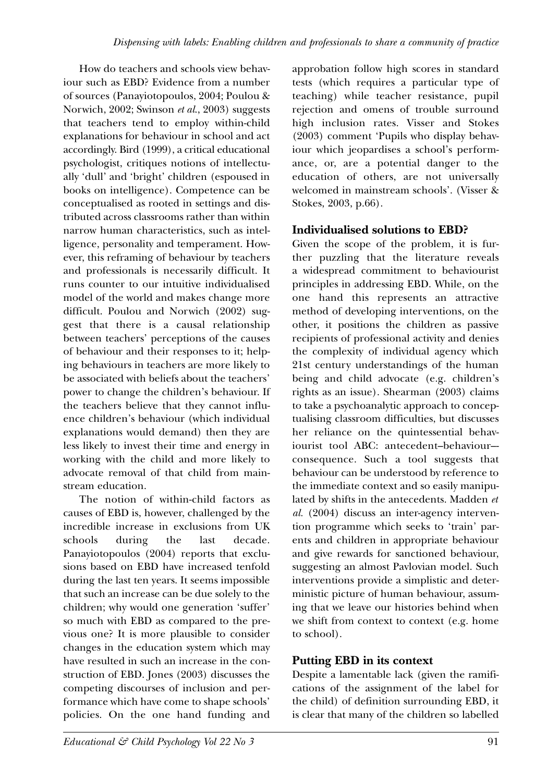How do teachers and schools view behaviour such as EBD? Evidence from a number of sources (Panayiotopoulos, 2004; Poulou & Norwich, 2002; Swinson *et al*., 2003) suggests that teachers tend to employ within-child explanations for behaviour in school and act accordingly. Bird (1999), a critical educational psychologist, critiques notions of intellectually 'dull' and 'bright' children (espoused in books on intelligence). Competence can be conceptualised as rooted in settings and distributed across classrooms rather than within narrow human characteristics, such as intelligence, personality and temperament. However, this reframing of behaviour by teachers and professionals is necessarily difficult. It runs counter to our intuitive individualised model of the world and makes change more difficult. Poulou and Norwich (2002) suggest that there is a causal relationship between teachers' perceptions of the causes of behaviour and their responses to it; helping behaviours in teachers are more likely to be associated with beliefs about the teachers' power to change the children's behaviour. If the teachers believe that they cannot influence children's behaviour (which individual explanations would demand) then they are less likely to invest their time and energy in working with the child and more likely to advocate removal of that child from mainstream education.

The notion of within-child factors as causes of EBD is, however, challenged by the incredible increase in exclusions from UK schools during the last decade. Panayiotopoulos (2004) reports that exclusions based on EBD have increased tenfold during the last ten years. It seems impossible that such an increase can be due solely to the children; why would one generation 'suffer' so much with EBD as compared to the previous one? It is more plausible to consider changes in the education system which may have resulted in such an increase in the construction of EBD. Jones (2003) discusses the competing discourses of inclusion and performance which have come to shape schools' policies. On the one hand funding and

approbation follow high scores in standard tests (which requires a particular type of teaching) while teacher resistance, pupil rejection and omens of trouble surround high inclusion rates. Visser and Stokes (2003) comment 'Pupils who display behaviour which jeopardises a school's performance, or, are a potential danger to the education of others, are not universally welcomed in mainstream schools'. (Visser & Stokes, 2003, p.66).

#### **Individualised solutions to EBD?**

Given the scope of the problem, it is further puzzling that the literature reveals a widespread commitment to behaviourist principles in addressing EBD. While, on the one hand this represents an attractive method of developing interventions, on the other, it positions the children as passive recipients of professional activity and denies the complexity of individual agency which 21st century understandings of the human being and child advocate (e.g. children's rights as an issue). Shearman (2003) claims to take a psychoanalytic approach to conceptualising classroom difficulties, but discusses her reliance on the quintessential behaviourist tool ABC: antecedent–behaviour– consequence. Such a tool suggests that behaviour can be understood by reference to the immediate context and so easily manipulated by shifts in the antecedents. Madden *et al.* (2004) discuss an inter-agency intervention programme which seeks to 'train' parents and children in appropriate behaviour and give rewards for sanctioned behaviour, suggesting an almost Pavlovian model. Such interventions provide a simplistic and deterministic picture of human behaviour, assuming that we leave our histories behind when we shift from context to context (e.g. home to school).

#### **Putting EBD in its context**

Despite a lamentable lack (given the ramifications of the assignment of the label for the child) of definition surrounding EBD, it is clear that many of the children so labelled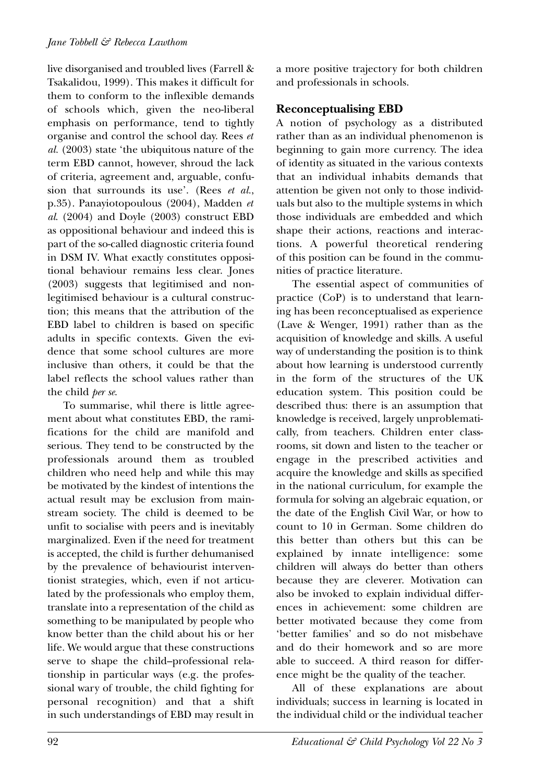live disorganised and troubled lives (Farrell & Tsakalidou, 1999). This makes it difficult for them to conform to the inflexible demands of schools which, given the neo-liberal emphasis on performance, tend to tightly organise and control the school day. Rees *et al.* (2003) state 'the ubiquitous nature of the term EBD cannot, however, shroud the lack of criteria, agreement and, arguable, confusion that surrounds its use'. (Rees *et al.*, p.35). Panayiotopoulous (2004), Madden *et al*. (2004) and Doyle (2003) construct EBD as oppositional behaviour and indeed this is part of the so-called diagnostic criteria found in DSM IV. What exactly constitutes oppositional behaviour remains less clear. Jones (2003) suggests that legitimised and nonlegitimised behaviour is a cultural construction; this means that the attribution of the EBD label to children is based on specific adults in specific contexts. Given the evidence that some school cultures are more inclusive than others, it could be that the label reflects the school values rather than the child *per se*.

To summarise, whil there is little agreement about what constitutes EBD, the ramifications for the child are manifold and serious. They tend to be constructed by the professionals around them as troubled children who need help and while this may be motivated by the kindest of intentions the actual result may be exclusion from mainstream society. The child is deemed to be unfit to socialise with peers and is inevitably marginalized. Even if the need for treatment is accepted, the child is further dehumanised by the prevalence of behaviourist interventionist strategies, which, even if not articulated by the professionals who employ them, translate into a representation of the child as something to be manipulated by people who know better than the child about his or her life. We would argue that these constructions serve to shape the child–professional relationship in particular ways (e.g. the professional wary of trouble, the child fighting for personal recognition) and that a shift in such understandings of EBD may result in a more positive trajectory for both children and professionals in schools.

#### **Reconceptualising EBD**

A notion of psychology as a distributed rather than as an individual phenomenon is beginning to gain more currency. The idea of identity as situated in the various contexts that an individual inhabits demands that attention be given not only to those individuals but also to the multiple systems in which those individuals are embedded and which shape their actions, reactions and interactions. A powerful theoretical rendering of this position can be found in the communities of practice literature.

The essential aspect of communities of practice (CoP) is to understand that learning has been reconceptualised as experience (Lave & Wenger, 1991) rather than as the acquisition of knowledge and skills. A useful way of understanding the position is to think about how learning is understood currently in the form of the structures of the UK education system. This position could be described thus: there is an assumption that knowledge is received, largely unproblematically, from teachers. Children enter classrooms, sit down and listen to the teacher or engage in the prescribed activities and acquire the knowledge and skills as specified in the national curriculum, for example the formula for solving an algebraic equation, or the date of the English Civil War, or how to count to 10 in German. Some children do this better than others but this can be explained by innate intelligence: some children will always do better than others because they are cleverer. Motivation can also be invoked to explain individual differences in achievement: some children are better motivated because they come from 'better families' and so do not misbehave and do their homework and so are more able to succeed. A third reason for difference might be the quality of the teacher.

All of these explanations are about individuals; success in learning is located in the individual child or the individual teacher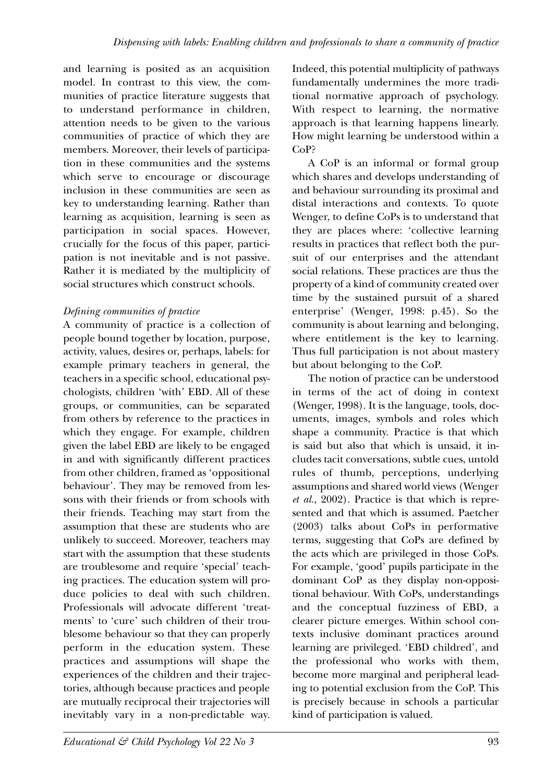and learning is posited as an acquisition model. In contrast to this view, the communities of practice literature suggests that to understand performance in children, attention needs to be given to the various communities of practice of which they are members. Moreover, their levels of participation in these communities and the systems which serve to encourage or discourage inclusion in these communities are seen as key to understanding learning. Rather than learning as acquisition, learning is seen as participation in social spaces. However, crucially for the focus of this paper, participation is not inevitable and is not passive. Rather it is mediated by the multiplicity of social structures which construct schools.

#### *Defining communities of practice*

A community of practice is a collection of people bound together by location, purpose, activity, values, desires or, perhaps, labels: for example primary teachers in general, the teachers in a specific school, educational psychologists, children 'with' EBD. All of these groups, or communities, can be separated from others by reference to the practices in which they engage. For example, children given the label EBD are likely to be engaged in and with significantly different practices from other children, framed as 'oppositional behaviour'. They may be removed from lessons with their friends or from schools with their friends. Teaching may start from the assumption that these are students who are unlikely to succeed. Moreover, teachers may start with the assumption that these students are troublesome and require 'special' teaching practices. The education system will produce policies to deal with such children. Professionals will advocate different 'treatments' to 'cure' such children of their troublesome behaviour so that they can properly perform in the education system. These practices and assumptions will shape the experiences of the children and their trajectories, although because practices and people are mutually reciprocal their trajectories will inevitably vary in a non-predictable way. Indeed, this potential multiplicity of pathways fundamentally undermines the more traditional normative approach of psychology. With respect to learning, the normative approach is that learning happens linearly. How might learning be understood within a CoP?

A CoP is an informal or formal group which shares and develops understanding of and behaviour surrounding its proximal and distal interactions and contexts. To quote Wenger, to define CoPs is to understand that they are places where: 'collective learning results in practices that reflect both the pursuit of our enterprises and the attendant social relations. These practices are thus the property of a kind of community created over time by the sustained pursuit of a shared enterprise' (Wenger, 1998: p.45). So the community is about learning and belonging, where entitlement is the key to learning. Thus full participation is not about mastery but about belonging to the CoP.

The notion of practice can be understood in terms of the act of doing in context (Wenger, 1998). It is the language, tools, documents, images, symbols and roles which shape a community. Practice is that which is said but also that which is unsaid, it includes tacit conversations, subtle cues, untold rules of thumb, perceptions, underlying assumptions and shared world views (Wenger *et al.*, 2002). Practice is that which is represented and that which is assumed. Paetcher (2003) talks about CoPs in performative terms, suggesting that CoPs are defined by the acts which are privileged in those CoPs. For example, 'good' pupils participate in the dominant CoP as they display non-oppositional behaviour. With CoPs, understandings and the conceptual fuzziness of EBD, a clearer picture emerges. Within school contexts inclusive dominant practices around learning are privileged. 'EBD childred', and the professional who works with them, become more marginal and peripheral leading to potential exclusion from the CoP. This is precisely because in schools a particular kind of participation is valued.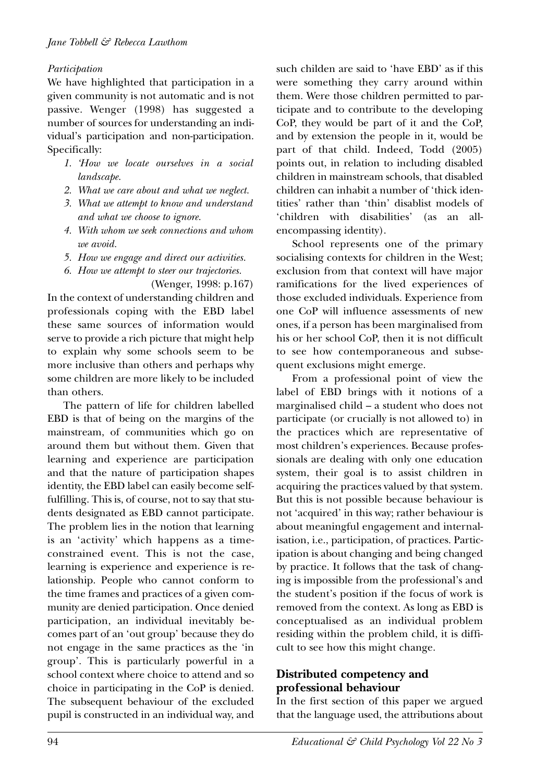#### *Participation*

We have highlighted that participation in a given community is not automatic and is not passive. Wenger (1998) has suggested a number of sources for understanding an individual's participation and non-participation. Specifically:

- *1. 'How we locate ourselves in a social landscape.*
- *2. What we care about and what we neglect.*
- *3. What we attempt to know and understand and what we choose to ignore.*
- *4. With whom we seek connections and whom we avoid.*
- *5. How we engage and direct our activities.*
- *6. How we attempt to steer our trajectories.*

(Wenger, 1998: p.167) In the context of understanding children and professionals coping with the EBD label these same sources of information would serve to provide a rich picture that might help to explain why some schools seem to be more inclusive than others and perhaps why some children are more likely to be included than others.

The pattern of life for children labelled EBD is that of being on the margins of the mainstream, of communities which go on around them but without them. Given that learning and experience are participation and that the nature of participation shapes identity, the EBD label can easily become selffulfilling. This is, of course, not to say that students designated as EBD cannot participate. The problem lies in the notion that learning is an 'activity' which happens as a timeconstrained event. This is not the case, learning is experience and experience is relationship. People who cannot conform to the time frames and practices of a given community are denied participation. Once denied participation, an individual inevitably becomes part of an 'out group' because they do not engage in the same practices as the 'in group'. This is particularly powerful in a school context where choice to attend and so choice in participating in the CoP is denied. The subsequent behaviour of the excluded pupil is constructed in an individual way, and such childen are said to 'have EBD' as if this were something they carry around within them. Were those children permitted to participate and to contribute to the developing CoP, they would be part of it and the CoP, and by extension the people in it, would be part of that child. Indeed, Todd (2005) points out, in relation to including disabled children in mainstream schools, that disabled children can inhabit a number of 'thick identities' rather than 'thin' disablist models of 'children with disabilities' (as an allencompassing identity).

School represents one of the primary socialising contexts for children in the West; exclusion from that context will have major ramifications for the lived experiences of those excluded individuals. Experience from one CoP will influence assessments of new ones, if a person has been marginalised from his or her school CoP, then it is not difficult to see how contemporaneous and subsequent exclusions might emerge.

From a professional point of view the label of EBD brings with it notions of a marginalised child – a student who does not participate (or crucially is not allowed to) in the practices which are representative of most children's experiences. Because professionals are dealing with only one education system, their goal is to assist children in acquiring the practices valued by that system. But this is not possible because behaviour is not 'acquired' in this way; rather behaviour is about meaningful engagement and internalisation, i.e., participation, of practices. Participation is about changing and being changed by practice. It follows that the task of changing is impossible from the professional's and the student's position if the focus of work is removed from the context. As long as EBD is conceptualised as an individual problem residing within the problem child, it is difficult to see how this might change.

#### **Distributed competency and professional behaviour**

In the first section of this paper we argued that the language used, the attributions about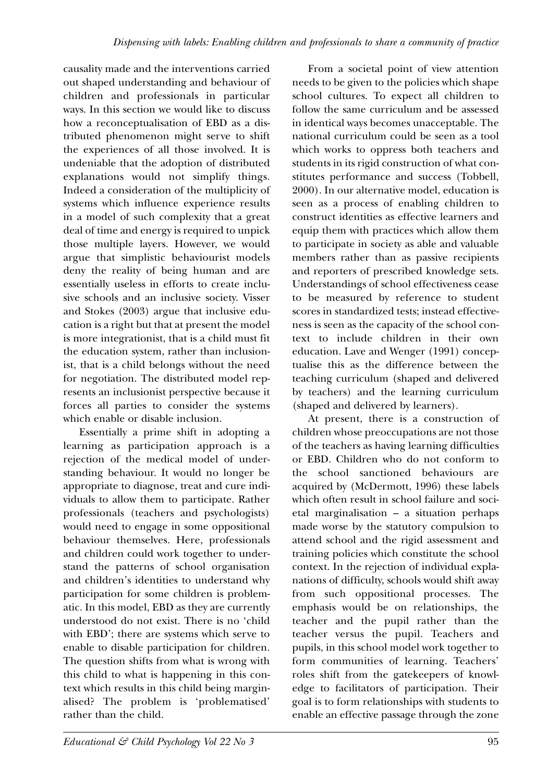causality made and the interventions carried out shaped understanding and behaviour of children and professionals in particular ways. In this section we would like to discuss how a reconceptualisation of EBD as a distributed phenomenon might serve to shift the experiences of all those involved. It is undeniable that the adoption of distributed explanations would not simplify things. Indeed a consideration of the multiplicity of systems which influence experience results in a model of such complexity that a great deal of time and energy is required to unpick those multiple layers. However, we would argue that simplistic behaviourist models deny the reality of being human and are essentially useless in efforts to create inclusive schools and an inclusive society. Visser and Stokes (2003) argue that inclusive education is a right but that at present the model is more integrationist, that is a child must fit the education system, rather than inclusionist, that is a child belongs without the need for negotiation. The distributed model represents an inclusionist perspective because it forces all parties to consider the systems which enable or disable inclusion.

Essentially a prime shift in adopting a learning as participation approach is a rejection of the medical model of understanding behaviour. It would no longer be appropriate to diagnose, treat and cure individuals to allow them to participate. Rather professionals (teachers and psychologists) would need to engage in some oppositional behaviour themselves. Here, professionals and children could work together to understand the patterns of school organisation and children's identities to understand why participation for some children is problematic. In this model, EBD as they are currently understood do not exist. There is no 'child with EBD'; there are systems which serve to enable to disable participation for children. The question shifts from what is wrong with this child to what is happening in this context which results in this child being marginalised? The problem is 'problematised' rather than the child.

From a societal point of view attention needs to be given to the policies which shape school cultures. To expect all children to follow the same curriculum and be assessed in identical ways becomes unacceptable. The national curriculum could be seen as a tool which works to oppress both teachers and students in its rigid construction of what constitutes performance and success (Tobbell, 2000). In our alternative model, education is seen as a process of enabling children to construct identities as effective learners and equip them with practices which allow them to participate in society as able and valuable members rather than as passive recipients and reporters of prescribed knowledge sets. Understandings of school effectiveness cease to be measured by reference to student scores in standardized tests; instead effectiveness is seen as the capacity of the school context to include children in their own education. Lave and Wenger (1991) conceptualise this as the difference between the teaching curriculum (shaped and delivered by teachers) and the learning curriculum (shaped and delivered by learners).

At present, there is a construction of children whose preoccupations are not those of the teachers as having learning difficulties or EBD. Children who do not conform to the school sanctioned behaviours are acquired by (McDermott, 1996) these labels which often result in school failure and societal marginalisation – a situation perhaps made worse by the statutory compulsion to attend school and the rigid assessment and training policies which constitute the school context. In the rejection of individual explanations of difficulty, schools would shift away from such oppositional processes. The emphasis would be on relationships, the teacher and the pupil rather than the teacher versus the pupil. Teachers and pupils, in this school model work together to form communities of learning. Teachers' roles shift from the gatekeepers of knowledge to facilitators of participation. Their goal is to form relationships with students to enable an effective passage through the zone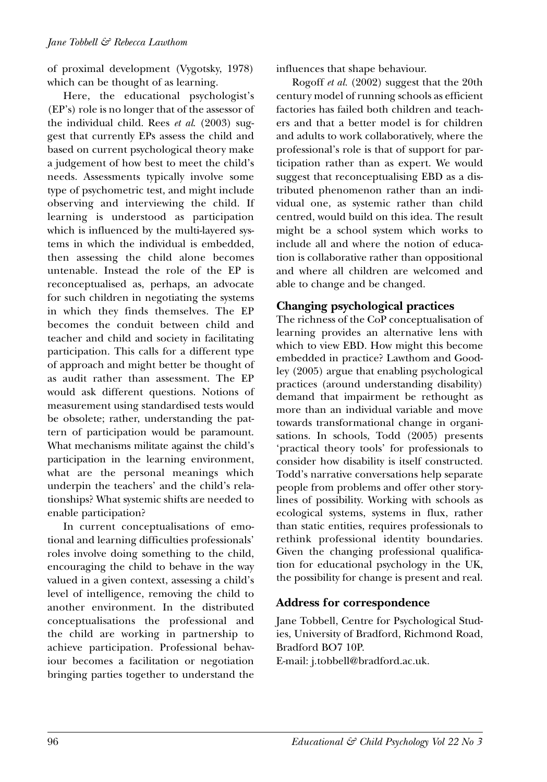of proximal development (Vygotsky, 1978) which can be thought of as learning.

Here, the educational psychologist's (EP's) role is no longer that of the assessor of the individual child. Rees *et al*. (2003) suggest that currently EPs assess the child and based on current psychological theory make a judgement of how best to meet the child's needs. Assessments typically involve some type of psychometric test, and might include observing and interviewing the child. If learning is understood as participation which is influenced by the multi-layered systems in which the individual is embedded, then assessing the child alone becomes untenable. Instead the role of the EP is reconceptualised as, perhaps, an advocate for such children in negotiating the systems in which they finds themselves. The EP becomes the conduit between child and teacher and child and society in facilitating participation. This calls for a different type of approach and might better be thought of as audit rather than assessment. The EP would ask different questions. Notions of measurement using standardised tests would be obsolete; rather, understanding the pattern of participation would be paramount. What mechanisms militate against the child's participation in the learning environment, what are the personal meanings which underpin the teachers' and the child's relationships? What systemic shifts are needed to enable participation?

In current conceptualisations of emotional and learning difficulties professionals' roles involve doing something to the child, encouraging the child to behave in the way valued in a given context, assessing a child's level of intelligence, removing the child to another environment. In the distributed conceptualisations the professional and the child are working in partnership to achieve participation. Professional behaviour becomes a facilitation or negotiation bringing parties together to understand the influences that shape behaviour.

Rogoff *et al.* (2002) suggest that the 20th century model of running schools as efficient factories has failed both children and teachers and that a better model is for children and adults to work collaboratively, where the professional's role is that of support for participation rather than as expert. We would suggest that reconceptualising EBD as a distributed phenomenon rather than an individual one, as systemic rather than child centred, would build on this idea. The result might be a school system which works to include all and where the notion of education is collaborative rather than oppositional and where all children are welcomed and able to change and be changed.

#### **Changing psychological practices**

The richness of the CoP conceptualisation of learning provides an alternative lens with which to view EBD. How might this become embedded in practice? Lawthom and Goodley (2005) argue that enabling psychological practices (around understanding disability) demand that impairment be rethought as more than an individual variable and move towards transformational change in organisations. In schools, Todd (2005) presents 'practical theory tools' for professionals to consider how disability is itself constructed. Todd's narrative conversations help separate people from problems and offer other storylines of possibility. Working with schools as ecological systems, systems in flux, rather than static entities, requires professionals to rethink professional identity boundaries. Given the changing professional qualification for educational psychology in the UK, the possibility for change is present and real.

#### **Address for correspondence**

Jane Tobbell, Centre for Psychological Studies, University of Bradford, Richmond Road, Bradford BO7 10P.

E-mail: j.tobbell@bradford.ac.uk.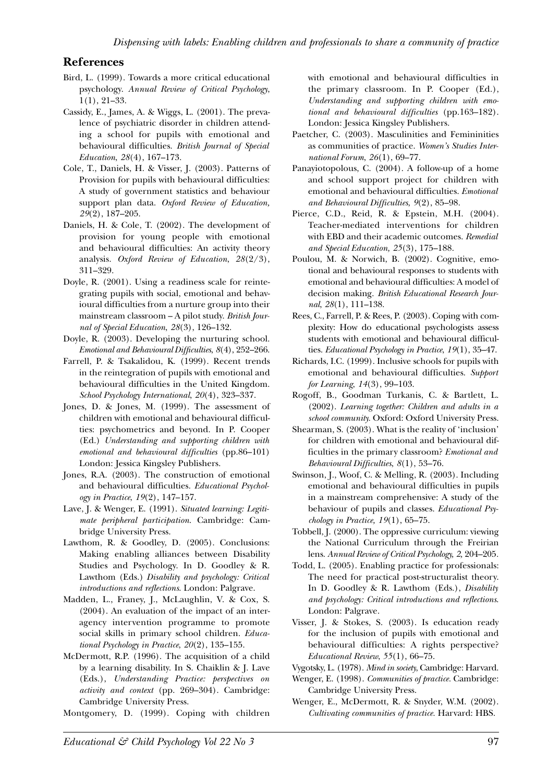#### **References**

- Bird, L. (1999). Towards a more critical educational psychology. *Annual Review of Critical Psychology*, 1(1), 21–33.
- Cassidy, E., James, A. & Wiggs, L. (2001). The prevalence of psychiatric disorder in children attending a school for pupils with emotional and behavioural difficulties. *British Journal of Special Education*, *28*(4), 167–173.
- Cole, T., Daniels, H. & Visser, J. (2003). Patterns of Provision for pupils with behavioural difficulties: A study of government statistics and behaviour support plan data. *Oxford Review of Education, 29*(2), 187–205.
- Daniels, H. & Cole, T. (2002). The development of provision for young people with emotional and behavioural difficulties: An activity theory analysis. *Oxford Review of Education*, *28*(2/3), 311–329.
- Doyle, R. (2001). Using a readiness scale for reintegrating pupils with social, emotional and behavioural difficulties from a nurture group into their mainstream classroom – A pilot study. *British Journal of Special Education*, *28*(3), 126–132.
- Doyle, R. (2003). Developing the nurturing school. *Emotional and Behavioural Difficulties*, *8*(4), 252–266.
- Farrell, P. & Tsakalidou, K. (1999). Recent trends in the reintegration of pupils with emotional and behavioural difficulties in the United Kingdom. *School Psychology International*, *20*(4), 323–337.
- Jones, D. & Jones, M. (1999). The assessment of children with emotional and behavioural difficulties: psychometrics and beyond. In P. Cooper (Ed.) *Understanding and supporting children with emotional and behavioural difficulties* (pp.86–101) London: Jessica Kingsley Publishers.
- Jones, R.A. (2003). The construction of emotional and behavioural difficulties. *Educational Psychology in Practice*, *19*(2), 147–157.
- Lave, J. & Wenger, E. (1991). *Situated learning: Legitimate peripheral participation*. Cambridge: Cambridge University Press.
- Lawthom, R. & Goodley, D. (2005). Conclusions: Making enabling alliances between Disability Studies and Psychology. In D. Goodley & R. Lawthom (Eds.) *Disability and psychology: Critical introductions and reflections*. London: Palgrave.
- Madden, L., Franey, J., McLaughlin, V. & Cox, S. (2004). An evaluation of the impact of an interagency intervention programme to promote social skills in primary school children. *Educational Psychology in Practice*, *20*(2), 135–155.
- McDermott, R.P. (1996). The acquisition of a child by a learning disability. In S. Chaiklin & J. Lave (Eds.), *Understanding Practice: perspectives on activity and context* (pp. 269–304). Cambridge: Cambridge University Press.
- Montgomery, D. (1999). Coping with children

with emotional and behavioural difficulties in the primary classroom. In P. Cooper (Ed.), *Understanding and supporting children with emotional and behavioural difficulties* (pp.163–182). London: Jessica Kingsley Publishers.

- Paetcher, C. (2003). Masculinities and Femininities as communities of practice. *Women's Studies International Forum*, *26*(1), 69–77.
- Panayiotopolous, C. (2004). A follow-up of a home and school support project for children with emotional and behavioural difficulties. *Emotional and Behavioural Difficulties*, *9*(2), 85–98.
- Pierce, C.D., Reid, R. & Epstein, M.H. (2004). Teacher-mediated interventions for children with EBD and their academic outcomes. *Remedial and Special Education, 25*(3), 175–188.
- Poulou, M. & Norwich, B. (2002). Cognitive, emotional and behavioural responses to students with emotional and behavioural difficulties: A model of decision making. *British Educational Research Journal*, *28*(1), 111–138.
- Rees, C., Farrell, P. & Rees, P. (2003). Coping with complexity: How do educational psychologists assess students with emotional and behavioural difficulties. *Educational Psychology in Practice*, *19*(1), 35–47.
- Richards, I.C. (1999). Inclusive schools for pupils with emotional and behavioural difficulties. *Support for Learning*, *14*(3), 99–103.
- Rogoff, B., Goodman Turkanis, C. & Bartlett, L. (2002). *Learning together: Children and adults in a school community.* Oxford: Oxford University Press.
- Shearman, S. (2003). What is the reality of 'inclusion' for children with emotional and behavioural difficulties in the primary classroom? *Emotional and Behavioural Difficulties*, *8*(1), 53–76.
- Swinson, J., Woof, C. & Melling, R. (2003). Including emotional and behavioural difficulties in pupils in a mainstream comprehensive: A study of the behaviour of pupils and classes. *Educational Psychology in Practice, 19*(1), 65–75.
- Tobbell, J. (2000). The oppressive curriculum: viewing the National Curriculum through the Freirian lens. *Annual Review of Critical Psychology, 2,* 204–205*.*
- Todd, L. (2005). Enabling practice for professionals: The need for practical post-structuralist theory. In D. Goodley & R. Lawthom (Eds.), *Disability and psychology: Critical introductions and reflections*. London: Palgrave.
- Visser, J. & Stokes, S. (2003). Is education ready for the inclusion of pupils with emotional and behavioural difficulties: A rights perspective? *Educational Review*, *55*(1), 66–75.
- Vygotsky, L. (1978). *Mind in society*, Cambridge: Harvard.
- Wenger, E. (1998). *Communities of practice.* Cambridge: Cambridge University Press.
- Wenger, E., McDermott, R. & Snyder, W.M. (2002). *Cultivating communities of practice.* Harvard: HBS.